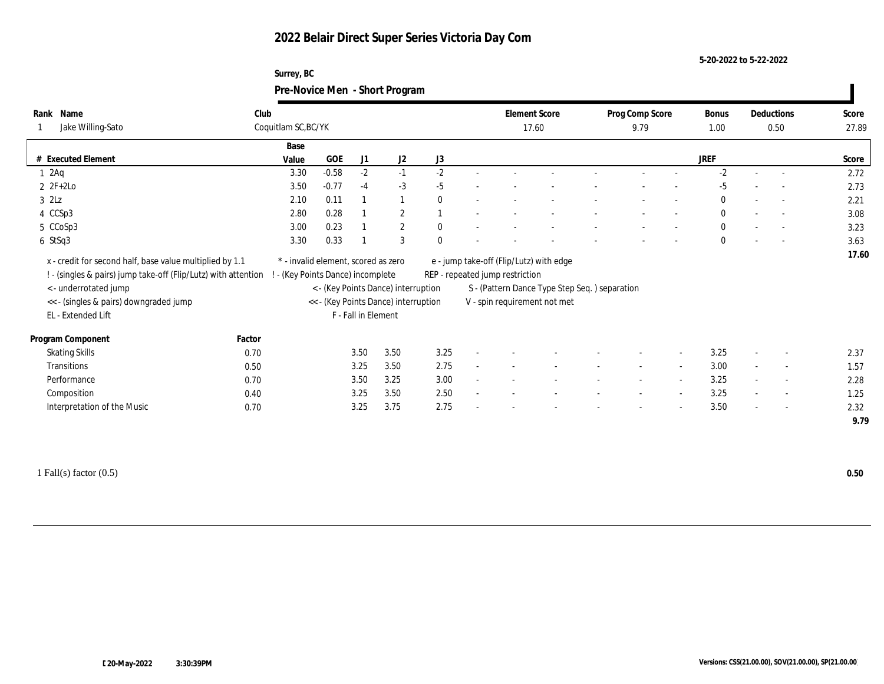### **Surrey, BC Pre-Novice Men - Short Program**

|                                                                                                                                                                                                                      |        |                                                                        |         |                     | $\circ$                                                                     |              |        |                                 |                                                                                                                           |                          |                          |              |        |                          |              |
|----------------------------------------------------------------------------------------------------------------------------------------------------------------------------------------------------------------------|--------|------------------------------------------------------------------------|---------|---------------------|-----------------------------------------------------------------------------|--------------|--------|---------------------------------|---------------------------------------------------------------------------------------------------------------------------|--------------------------|--------------------------|--------------|--------|--------------------------|--------------|
| Name<br>Rank                                                                                                                                                                                                         | Club   |                                                                        |         |                     |                                                                             |              |        | <b>Element Score</b>            |                                                                                                                           | Prog Comp Score          |                          | <b>Bonus</b> |        | Deductions               | Score        |
| Jake Willing-Sato                                                                                                                                                                                                    |        | Coquitlam SC, BC/YK                                                    |         |                     |                                                                             |              |        |                                 | 17.60                                                                                                                     | 9.79                     |                          | 1.00         |        | 0.50                     | 27.89        |
|                                                                                                                                                                                                                      |        | Base                                                                   |         |                     |                                                                             |              |        |                                 |                                                                                                                           |                          |                          |              |        |                          |              |
| # Executed Element                                                                                                                                                                                                   |        | Value                                                                  | $GOE$   | J1                  | J2                                                                          | J3           |        |                                 |                                                                                                                           |                          |                          | <b>JREF</b>  |        |                          | Score        |
| $1 \cdot 2$ Aq                                                                                                                                                                                                       |        | 3.30                                                                   | $-0.58$ | $-2$                | $-1$                                                                        | $-2$         |        |                                 |                                                                                                                           |                          |                          | $-2$         |        |                          | 2.72         |
| $2 \t2F+2Lo$                                                                                                                                                                                                         |        | 3.50                                                                   | $-0.77$ | $-4$                | $-3$                                                                        | $-5$         |        |                                 |                                                                                                                           |                          |                          | $-5$         |        | $\overline{a}$           | 2.73         |
| $3$ $2\text{L}z$                                                                                                                                                                                                     |        | 2.10                                                                   | 0.11    |                     | $\mathbf{1}$                                                                | $\mathbf{0}$ |        |                                 |                                                                                                                           |                          |                          | $\mathbf{0}$ |        | $\sim$                   | 2.21         |
| 4 CCSp3                                                                                                                                                                                                              |        | 2.80                                                                   | 0.28    |                     | $\mathbf{2}$                                                                |              |        |                                 |                                                                                                                           |                          |                          | $\mathbf{0}$ |        | $\overline{\phantom{a}}$ | 3.08         |
| 5 CCoSp3                                                                                                                                                                                                             |        | 3.00                                                                   | 0.23    |                     | $\mathbf{2}$                                                                | $\mathbf{0}$ |        |                                 |                                                                                                                           |                          |                          | $\mathbf{0}$ |        | $\overline{a}$           | 3.23         |
| 6 StSq3                                                                                                                                                                                                              |        | 3.30                                                                   | 0.33    |                     | 3                                                                           | $\Omega$     |        |                                 |                                                                                                                           |                          |                          | $\mathbf{0}$ |        | $\sim$                   | 3.63         |
| x - credit for second half, base value multiplied by 1.1<br>! - (singles & pairs) jump take-off (Flip/Lutz) with attention !<br><- underrotated jump<br><< - (singles & pairs) downgraded jump<br>EL - Extended Lift |        | * - invalid element, scored as zero<br>- (Key Points Dance) incomplete |         | F - Fall in Element | < - (Key Points Dance) interruption<br><< - (Key Points Dance) interruption |              |        | REP - repeated jump restriction | e - jump take-off (Flip/Lutz) with edge<br>S - (Pattern Dance Type Step Seq. ) separation<br>V - spin requirement not met |                          |                          |              |        |                          | 17.60        |
| Program Component                                                                                                                                                                                                    | Factor |                                                                        |         |                     |                                                                             |              |        |                                 |                                                                                                                           |                          |                          |              |        |                          |              |
| <b>Skating Skills</b>                                                                                                                                                                                                | 0.70   |                                                                        |         | 3.50                | 3.50                                                                        | 3.25         |        |                                 |                                                                                                                           |                          |                          | 3.25         |        | $\overline{\phantom{a}}$ | 2.37         |
| Transitions                                                                                                                                                                                                          | 0.50   |                                                                        |         | 3.25                | 3.50                                                                        | 2.75         |        |                                 |                                                                                                                           | $\sim$                   | $\sim$                   | 3.00         | $\sim$ | $\sim$                   | 1.57         |
| Performance                                                                                                                                                                                                          | 0.70   |                                                                        |         | 3.50                | 3.25                                                                        | 3.00         |        |                                 |                                                                                                                           |                          |                          | 3.25         |        | $\overline{\phantom{a}}$ | 2.28         |
| Composition                                                                                                                                                                                                          | 0.40   |                                                                        |         | 3.25                | 3.50                                                                        | 2.50         | $\sim$ |                                 |                                                                                                                           | $\overline{\phantom{a}}$ | $\overline{\phantom{a}}$ | 3.25         | $\sim$ | $\overline{\phantom{a}}$ | 1.25         |
| Interpretation of the Music                                                                                                                                                                                          | 0.70   |                                                                        |         | 3.25                | 3.75                                                                        | 2.75         |        |                                 |                                                                                                                           |                          | $\overline{\phantom{a}}$ | 3.50         |        | $\overline{\phantom{a}}$ | 2.32<br>9.79 |
|                                                                                                                                                                                                                      |        |                                                                        |         |                     |                                                                             |              |        |                                 |                                                                                                                           |                          |                          |              |        |                          |              |

1 Fall(s) factor (0.5) **0.50**

 $\blacksquare$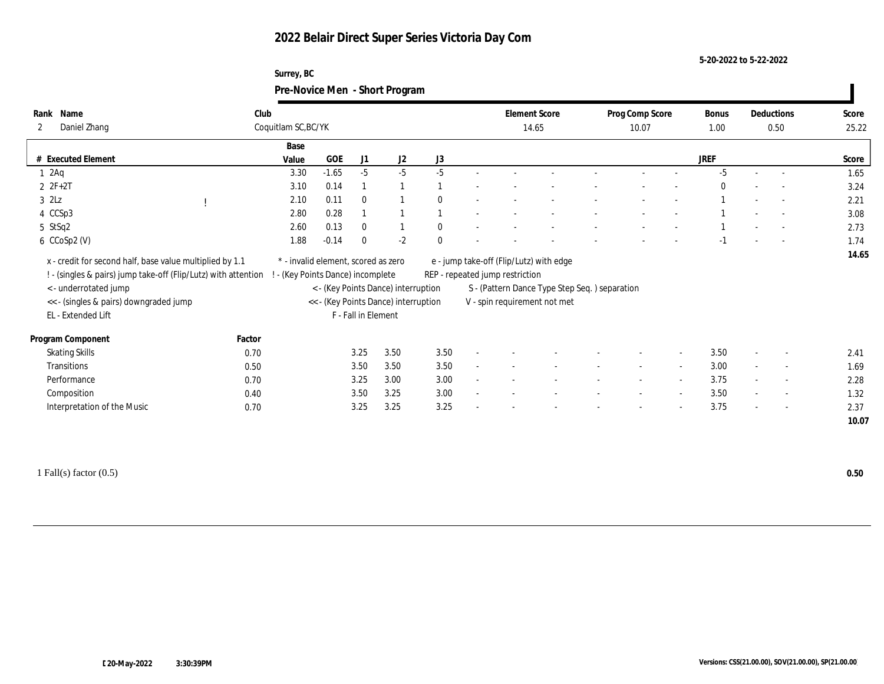### **Surrey, BC Pre-Novice Men - Short Program**

|                                                                                                                            |        |                                                                        |         |                     |                                                                             |              |                                 |                                                                               |                 |                          |          | Deductions               |       |
|----------------------------------------------------------------------------------------------------------------------------|--------|------------------------------------------------------------------------|---------|---------------------|-----------------------------------------------------------------------------|--------------|---------------------------------|-------------------------------------------------------------------------------|-----------------|--------------------------|----------|--------------------------|-------|
| Name<br>Rank                                                                                                               | Club   |                                                                        |         |                     |                                                                             |              | <b>Element Score</b>            |                                                                               | Prog Comp Score |                          | Bonus    |                          | Score |
| Daniel Zhang<br>$\mathbf{2}$                                                                                               |        | Coquitlam SC, BC/YK                                                    |         |                     |                                                                             |              | 14.65                           |                                                                               | 10.07           |                          | 1.00     | 0.50                     | 25.22 |
|                                                                                                                            |        | Base                                                                   |         |                     |                                                                             |              |                                 |                                                                               |                 |                          |          |                          |       |
| # Executed Element                                                                                                         |        | Value                                                                  | GOE     | J1                  | J2                                                                          | J3           |                                 |                                                                               |                 |                          | JREF     |                          | Score |
| 12Aq                                                                                                                       |        | 3.30                                                                   | $-1.65$ | $-5$                | $-5$                                                                        | $-5$         |                                 |                                                                               |                 |                          | $-5$     |                          | 1.65  |
| $2 ZF+2T$                                                                                                                  |        | 3.10                                                                   | 0.14    | $\mathbf{1}$        | $\mathbf{1}$                                                                |              |                                 |                                                                               |                 |                          | $\theta$ |                          | 3.24  |
| $3$ $2Lz$                                                                                                                  |        | 2.10                                                                   | 0.11    | $\mathbf{0}$        | $\mathbf{1}$                                                                | $\mathbf{0}$ |                                 |                                                                               |                 |                          |          |                          | 2.21  |
| 4 CCSp3                                                                                                                    |        | 2.80                                                                   | 0.28    |                     | $\mathbf{1}$                                                                |              |                                 |                                                                               |                 |                          |          |                          | 3.08  |
| 5 StSq2                                                                                                                    |        | 2.60                                                                   | 0.13    | $\mathbf{0}$        | $\mathbf{1}$                                                                | $\mathbf{0}$ |                                 |                                                                               |                 |                          |          |                          | 2.73  |
| 6 CCoSp2 (V)                                                                                                               |        | 1.88                                                                   | $-0.14$ | $\mathbf{0}$        | $-2$                                                                        | $\theta$     |                                 |                                                                               |                 |                          | $-1$     |                          | 1.74  |
| x - credit for second half, base value multiplied by 1.1<br>! - (singles & pairs) jump take-off (Flip/Lutz) with attention |        | * - invalid element, scored as zero<br>- (Key Points Dance) incomplete |         |                     |                                                                             |              |                                 | e - jump take-off (Flip/Lutz) with edge                                       |                 |                          |          |                          |       |
| <- underrotated jump<br><< - (singles & pairs) downgraded jump<br>EL - Extended Lift                                       |        |                                                                        |         | F - Fall in Element | < - (Key Points Dance) interruption<br><< - (Key Points Dance) interruption |              | REP - repeated jump restriction | S - (Pattern Dance Type Step Seq.) separation<br>V - spin requirement not met |                 |                          |          |                          |       |
| Program Component                                                                                                          | Factor |                                                                        |         |                     |                                                                             |              |                                 |                                                                               |                 |                          |          |                          |       |
| <b>Skating Skills</b>                                                                                                      | 0.70   |                                                                        |         | 3.25                | 3.50                                                                        | 3.50         |                                 |                                                                               |                 | $\overline{\phantom{a}}$ | 3.50     | $\overline{\phantom{a}}$ | 2.41  |
| Transitions                                                                                                                | 0.50   |                                                                        |         | 3.50                | 3.50                                                                        | 3.50         |                                 |                                                                               |                 | $\overline{\phantom{a}}$ | 3.00     | $\sim$                   | 1.69  |
| Performance                                                                                                                | 0.70   |                                                                        |         | 3.25                | 3.00                                                                        | 3.00         |                                 |                                                                               |                 | $\sim$                   | 3.75     | $\overline{\phantom{a}}$ | 2.28  |
| Composition                                                                                                                | 0.40   |                                                                        |         | 3.50                | 3.25                                                                        | 3.00         |                                 |                                                                               |                 | $\sim$                   | 3.50     | $\overline{\phantom{a}}$ | 1.32  |
| Interpretation of the Music                                                                                                | 0.70   |                                                                        |         | 3.25                | 3.25                                                                        | 3.25         |                                 |                                                                               |                 | $\overline{\phantom{a}}$ | 3.75     | $\overline{\phantom{a}}$ | 2.37  |

1 Fall(s) factor (0.5) **0.50**

 $\blacksquare$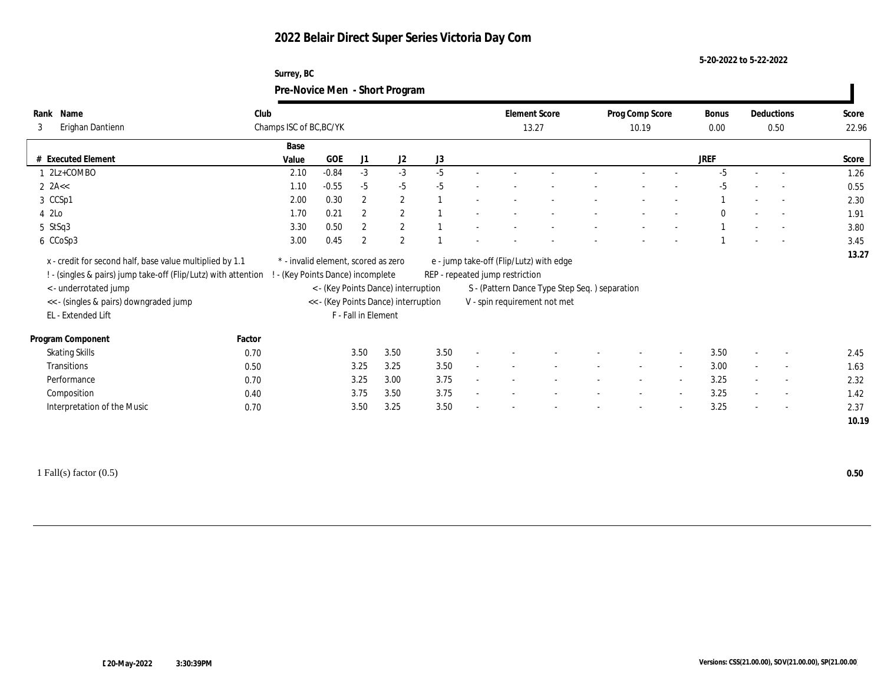### **Surrey, BC Pre-Novice Men - Short Program**

|                                                                                                                                                                                                                     |        |                                                                        |         |                     | $\circ$                                                                     |      |                                                                                                            |                                               |                          |        |              |                          |                          |       |
|---------------------------------------------------------------------------------------------------------------------------------------------------------------------------------------------------------------------|--------|------------------------------------------------------------------------|---------|---------------------|-----------------------------------------------------------------------------|------|------------------------------------------------------------------------------------------------------------|-----------------------------------------------|--------------------------|--------|--------------|--------------------------|--------------------------|-------|
| Name<br>Rank                                                                                                                                                                                                        | Club   |                                                                        |         |                     |                                                                             |      | <b>Element Score</b>                                                                                       |                                               | Prog Comp Score          |        | <b>Bonus</b> |                          | Deductions               | Score |
| Erighan Dantienn<br>3                                                                                                                                                                                               |        | Champs ISC of BC, BC/YK                                                |         |                     |                                                                             |      | 13.27                                                                                                      |                                               | 10.19                    |        | 0.00         |                          | 0.50                     | 22.96 |
|                                                                                                                                                                                                                     |        | Base                                                                   |         |                     |                                                                             |      |                                                                                                            |                                               |                          |        |              |                          |                          |       |
| # Executed Element                                                                                                                                                                                                  |        | Value                                                                  | GOE     | J1                  | J2                                                                          | J3   |                                                                                                            |                                               |                          |        | <b>JREF</b>  |                          |                          | Score |
| 1 2Lz+COMBO                                                                                                                                                                                                         |        | 2.10                                                                   | $-0.84$ | $-3$                | $-3$                                                                        | $-5$ |                                                                                                            |                                               |                          |        | $-5$         |                          |                          | 1.26  |
| $2$ $2A <$                                                                                                                                                                                                          |        | 1.10                                                                   | $-0.55$ | $-5$                | $-5$                                                                        | $-5$ |                                                                                                            |                                               |                          |        | $-5$         |                          |                          | 0.55  |
| 3 CCSp1                                                                                                                                                                                                             |        | 2.00                                                                   | 0.30    | $\mathbf{2}$        | $\mathbf{2}$                                                                |      |                                                                                                            |                                               |                          |        |              |                          | $\sim$                   | 2.30  |
| 4 2Lo                                                                                                                                                                                                               |        | 1.70                                                                   | 0.21    | $\mathbf{2}$        | $\mathbf{2}$                                                                |      |                                                                                                            |                                               |                          |        | $\theta$     |                          |                          | 1.91  |
| 5 StSq3                                                                                                                                                                                                             |        | 3.30                                                                   | 0.50    | $\mathbf{2}$        | $\mathbf{2}$                                                                |      |                                                                                                            |                                               |                          |        |              |                          | $\sim$                   | 3.80  |
| 6 CCoSp3                                                                                                                                                                                                            |        | 3.00                                                                   | 0.45    | $\boldsymbol{2}$    | 2                                                                           |      |                                                                                                            |                                               |                          |        |              |                          |                          | 3.45  |
| x - credit for second half, base value multiplied by 1.1<br>! - (singles & pairs) jump take-off (Flip/Lutz) with attention<br>< - underrotated jump<br><< - (singles & pairs) downgraded jump<br>EL - Extended Lift |        | * - invalid element, scored as zero<br>- (Key Points Dance) incomplete |         | F - Fall in Element | < - (Key Points Dance) interruption<br><< - (Key Points Dance) interruption |      | e - jump take-off (Flip/Lutz) with edge<br>REP - repeated jump restriction<br>V - spin requirement not met | S - (Pattern Dance Type Step Seq.) separation |                          |        |              |                          |                          | 13.27 |
|                                                                                                                                                                                                                     |        |                                                                        |         |                     |                                                                             |      |                                                                                                            |                                               |                          |        |              |                          |                          |       |
|                                                                                                                                                                                                                     | Factor |                                                                        |         |                     |                                                                             |      |                                                                                                            |                                               |                          |        |              |                          |                          |       |
| Program Component<br><b>Skating Skills</b>                                                                                                                                                                          | 0.70   |                                                                        |         | 3.50                | 3.50                                                                        | 3.50 |                                                                                                            |                                               |                          |        | 3.50         |                          | $\overline{\phantom{a}}$ | 2.45  |
| Transitions                                                                                                                                                                                                         | 0.50   |                                                                        |         | 3.25                | 3.25                                                                        | 3.50 |                                                                                                            |                                               | $\overline{\phantom{a}}$ | $\sim$ | 3.00         | $\overline{\phantom{a}}$ | $\sim$                   | 1.63  |
| Performance                                                                                                                                                                                                         | 0.70   |                                                                        |         | 3.25                | 3.00                                                                        | 3.75 |                                                                                                            |                                               |                          |        | 3.25         |                          | $\overline{\phantom{a}}$ | 2.32  |
| Composition                                                                                                                                                                                                         | 0.40   |                                                                        |         | 3.75                | 3.50                                                                        | 3.75 |                                                                                                            |                                               | $\overline{\phantom{a}}$ | $\sim$ | 3.25         | $\sim$                   | $\sim$                   | 1.42  |
| Interpretation of the Music                                                                                                                                                                                         | 0.70   |                                                                        |         | 3.50                | 3.25                                                                        | 3.50 |                                                                                                            |                                               |                          |        | 3.25         |                          | $\overline{\phantom{a}}$ | 2.37  |

1 Fall(s) factor (0.5) **0.50**

 $\blacksquare$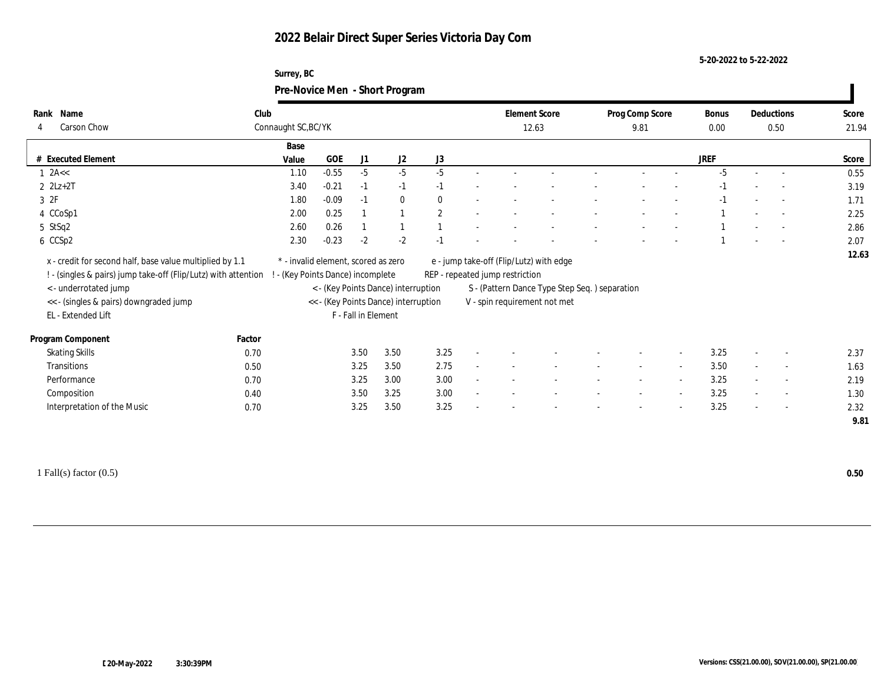### **Surrey, BC Pre-Novice Men - Short Program**

|                       |                                                                                                                                                                                                                    |                                   |                                     |                     | $\sigma$                                                                    |                |                                 |                                                                                                                          |                 |                          |             |                          |                          |              |
|-----------------------|--------------------------------------------------------------------------------------------------------------------------------------------------------------------------------------------------------------------|-----------------------------------|-------------------------------------|---------------------|-----------------------------------------------------------------------------|----------------|---------------------------------|--------------------------------------------------------------------------------------------------------------------------|-----------------|--------------------------|-------------|--------------------------|--------------------------|--------------|
| Name<br>Rank          |                                                                                                                                                                                                                    | Club                              |                                     |                     |                                                                             |                | <b>Element Score</b>            |                                                                                                                          | Prog Comp Score |                          | Bonus       |                          | Deductions               | Score        |
| 4                     | Carson Chow                                                                                                                                                                                                        | Connaught SC, BC/YK               |                                     |                     |                                                                             |                | 12.63                           |                                                                                                                          | 9.81            |                          | 0.00        |                          | 0.50                     | 21.94        |
|                       |                                                                                                                                                                                                                    | Base                              |                                     |                     |                                                                             |                |                                 |                                                                                                                          |                 |                          |             |                          |                          |              |
|                       | # Executed Element                                                                                                                                                                                                 | Value                             | GOE                                 | J1                  | J2                                                                          | $\rm J3$       |                                 |                                                                                                                          |                 |                          | <b>JREF</b> |                          |                          | Score        |
| $1$ 2A $\lt$          |                                                                                                                                                                                                                    | 1.10                              | $-0.55$                             | $-5$                | $-5$                                                                        | $-5$           |                                 |                                                                                                                          |                 |                          | $-5$        |                          |                          | 0.55         |
| $2$ $2Lz+2T$          |                                                                                                                                                                                                                    | 3.40                              | $-0.21$                             | $-1$                | $-1$                                                                        | $-1$           |                                 |                                                                                                                          |                 |                          | $-1$        |                          |                          | 3.19         |
| 3 2F                  |                                                                                                                                                                                                                    | 1.80                              | $-0.09$                             | $-1$                | $\bf{0}$                                                                    | $\mathbf{0}$   |                                 |                                                                                                                          |                 |                          | $-1$        |                          | $\sim$                   | 1.71         |
| 4 CCoSp1              |                                                                                                                                                                                                                    | 2.00                              | 0.25                                |                     | $\overline{1}$                                                              | $\overline{2}$ |                                 |                                                                                                                          |                 |                          |             |                          |                          | 2.25         |
| 5 StSq2               |                                                                                                                                                                                                                    | 2.60                              | 0.26                                |                     |                                                                             |                |                                 |                                                                                                                          |                 |                          |             |                          | $\overline{a}$           | 2.86         |
| 6 CCSp2               |                                                                                                                                                                                                                    | 2.30                              | $-0.23$                             | $-2$                | $-2$                                                                        | $-1$           |                                 |                                                                                                                          |                 |                          |             |                          |                          | 2.07         |
|                       | x - credit for second half, base value multiplied by 1.1<br>! - (singles & pairs) jump take-off (Flip/Lutz) with attention<br><- underrotated jump<br><< - (singles & pairs) downgraded jump<br>EL - Extended Lift | ! - (Key Points Dance) incomplete | * - invalid element, scored as zero | F - Fall in Element | < - (Key Points Dance) interruption<br><< - (Key Points Dance) interruption |                | REP - repeated jump restriction | e - jump take-off (Flip/Lutz) with edge<br>S - (Pattern Dance Type Step Seq.) separation<br>V - spin requirement not met |                 |                          |             |                          |                          | 12.63        |
| Program Component     |                                                                                                                                                                                                                    | Factor                            |                                     |                     |                                                                             |                |                                 |                                                                                                                          |                 |                          |             |                          |                          |              |
| <b>Skating Skills</b> |                                                                                                                                                                                                                    | 0.70                              |                                     | 3.50                | 3.50                                                                        | 3.25           |                                 |                                                                                                                          |                 |                          | 3.25        | $\overline{\phantom{a}}$ | $\overline{\phantom{a}}$ | 2.37         |
| <b>Transitions</b>    |                                                                                                                                                                                                                    | 0.50                              |                                     | 3.25                | 3.50                                                                        | 2.75           |                                 |                                                                                                                          | $\sim$          | $\sim$                   | 3.50        | $\sim$                   | $\sim$                   | 1.63         |
| Performance           |                                                                                                                                                                                                                    | 0.70                              |                                     | 3.25                | 3.00                                                                        | 3.00           |                                 |                                                                                                                          | $\sim$          | $\sim$                   | 3.25        |                          | $\sim$                   | 2.19         |
| Composition           |                                                                                                                                                                                                                    | 0.40                              |                                     | 3.50                | 3.25                                                                        | 3.00           |                                 |                                                                                                                          | $\sim$          | $\sim$                   | 3.25        |                          | $\sim$                   | 1.30         |
|                       | Interpretation of the Music                                                                                                                                                                                        | 0.70                              |                                     | 3.25                | 3.50                                                                        | 3.25           |                                 |                                                                                                                          |                 | $\overline{\phantom{a}}$ | 3.25        |                          | $\overline{\phantom{a}}$ | 2.32<br>9.81 |

1 Fall(s) factor (0.5) **0.50**

 $\blacksquare$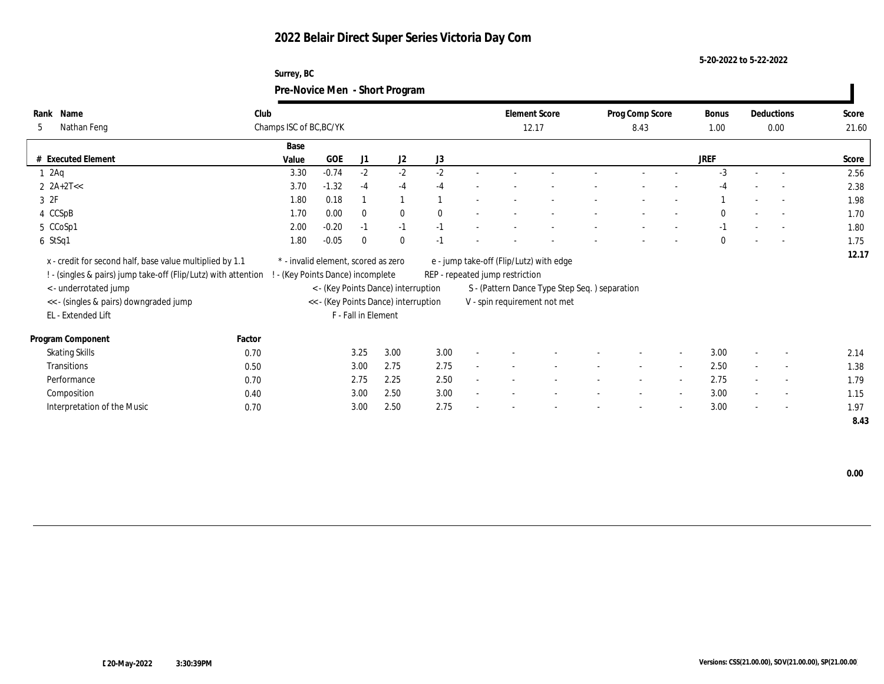### **Surrey, BC Pre-Novice Men - Short Program**

| Name<br>Rank                                                   | Club   |                                     |         |                     |                                      |              |                                 | <b>Element Score</b>                          | Prog Comp Score |                          | Bonus    | Deductions               | Score |
|----------------------------------------------------------------|--------|-------------------------------------|---------|---------------------|--------------------------------------|--------------|---------------------------------|-----------------------------------------------|-----------------|--------------------------|----------|--------------------------|-------|
| Nathan Feng<br>5                                               |        | Champs ISC of BC, BC/YK             |         |                     |                                      |              |                                 | 12.17                                         | 8.43            |                          | 1.00     | 0.00                     | 21.60 |
|                                                                |        | Base                                |         |                     |                                      |              |                                 |                                               |                 |                          |          |                          |       |
| <b>Executed Element</b>                                        |        | Value                               | GOE     | J1                  | J2                                   | J3           |                                 |                                               |                 |                          | JREF     |                          | Score |
| $1 \cdot 2$ Aq                                                 |        | 3.30                                | $-0.74$ | $-2$                | $-2$                                 | $-2$         |                                 |                                               |                 |                          | $-3$     | $\overline{a}$           | 2.56  |
| 2 $2A+2T<<$                                                    |        | 3.70                                | $-1.32$ | $-4$                | $-4$                                 | $-4$         |                                 |                                               |                 |                          |          |                          | 2.38  |
| 3 2F                                                           |        | 1.80                                | 0.18    |                     |                                      |              |                                 |                                               |                 |                          |          |                          | 1.98  |
| 4 CCSpB                                                        |        | 1.70                                | 0.00    | $\bf{0}$            | $\bf{0}$                             | $\mathbf{0}$ |                                 |                                               |                 |                          | $\theta$ | $\overline{a}$           | 1.70  |
| 5 CCoSp1                                                       |        | 2.00                                | $-0.20$ | $-1$                | $-1$                                 | $-1$         |                                 |                                               |                 |                          | $-1$     | $\overline{\phantom{0}}$ | 1.80  |
| 6 StSq1                                                        |        | 1.80                                | $-0.05$ | $\bf{0}$            | $\mathbf{0}$                         | $-1$         |                                 |                                               |                 |                          | $\Omega$ | $\overline{\phantom{a}}$ | 1.75  |
| x - credit for second half, base value multiplied by 1.1       |        | * - invalid element, scored as zero |         |                     |                                      |              |                                 | e - jump take-off (Flip/Lutz) with edge       |                 |                          |          |                          | 12.17 |
| ! - (singles & pairs) jump take-off (Flip/Lutz) with attention |        | (Key Points Dance) incomplete       |         |                     |                                      |              | REP - repeated jump restriction |                                               |                 |                          |          |                          |       |
| < - underrotated jump                                          |        |                                     |         |                     | < - (Key Points Dance) interruption  |              |                                 | S - (Pattern Dance Type Step Seq.) separation |                 |                          |          |                          |       |
| << - (singles & pairs) downgraded jump                         |        |                                     |         |                     | << - (Key Points Dance) interruption |              |                                 | V - spin requirement not met                  |                 |                          |          |                          |       |
| EL - Extended Lift                                             |        |                                     |         | F - Fall in Element |                                      |              |                                 |                                               |                 |                          |          |                          |       |
|                                                                |        |                                     |         |                     |                                      |              |                                 |                                               |                 |                          |          |                          |       |
| Program Component                                              | Factor |                                     |         |                     |                                      |              |                                 |                                               |                 |                          |          |                          |       |
| <b>Skating Skills</b>                                          | 0.70   |                                     |         | 3.25                | 3.00                                 | 3.00         |                                 |                                               |                 | $\sim$                   | 3.00     | $\overline{\phantom{a}}$ | 2.14  |
| Transitions                                                    | 0.50   |                                     |         | 3.00                | 2.75                                 | 2.75         |                                 |                                               |                 | $\overline{\phantom{a}}$ | 2.50     | $\sim$                   | 1.38  |
| Performance                                                    | 0.70   |                                     |         | 2.75                | 2.25                                 | 2.50         |                                 |                                               |                 | $\sim$                   | 2.75     | $\sim$                   | 1.79  |
| Composition                                                    | 0.40   |                                     |         | 3.00                | 2.50                                 | 3.00         |                                 |                                               |                 |                          | 3.00     | $\sim$                   | 1.15  |
| Interpretation of the Music                                    | 0.70   |                                     |         | 3.00                | 2.50                                 | 2.75         |                                 |                                               |                 |                          | 3.00     | $\overline{\phantom{a}}$ | 1.97  |
|                                                                |        |                                     |         |                     |                                      |              |                                 |                                               |                 |                          |          |                          | 8.43  |

 **0.00**

 $\mathbf{I}$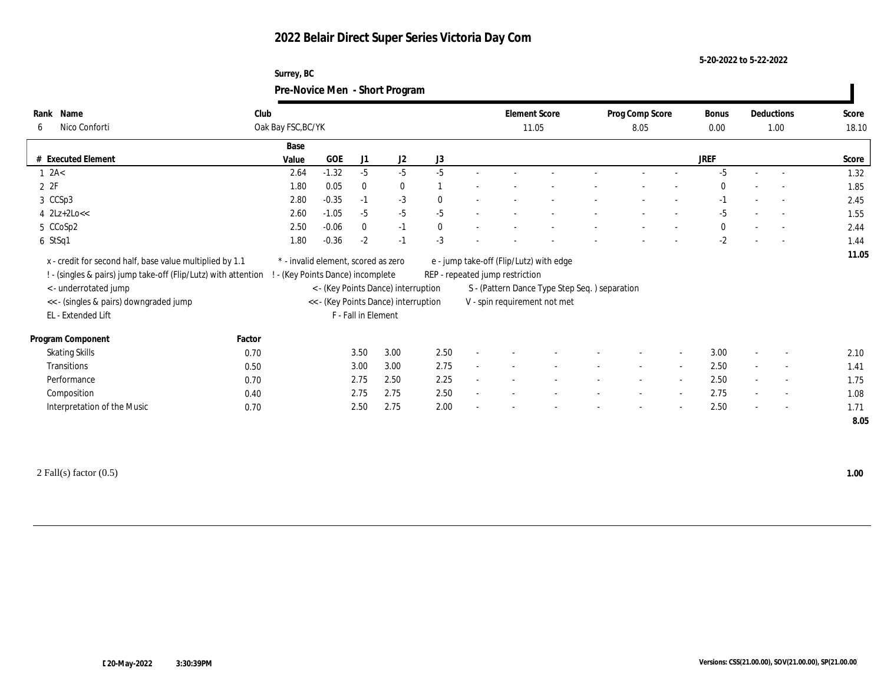### **Surrey, BC Pre-Novice Men - Short Program**

|      |                                                                                                                                                                                                                     |                                   |                                     |                     | $\mathbf{\sigma}$                                                           |              |        |                                 |                                                                                                                          |                 |                          |             |                          |                          |              |
|------|---------------------------------------------------------------------------------------------------------------------------------------------------------------------------------------------------------------------|-----------------------------------|-------------------------------------|---------------------|-----------------------------------------------------------------------------|--------------|--------|---------------------------------|--------------------------------------------------------------------------------------------------------------------------|-----------------|--------------------------|-------------|--------------------------|--------------------------|--------------|
| Rank | Name                                                                                                                                                                                                                | Club                              |                                     |                     |                                                                             |              |        | <b>Element Score</b>            |                                                                                                                          | Prog Comp Score |                          | Bonus       |                          | Deductions               | Score        |
| -6   | Nico Conforti                                                                                                                                                                                                       | Oak Bay FSC, BC/YK                |                                     |                     |                                                                             |              |        | 11.05                           |                                                                                                                          | 8.05            |                          | 0.00        |                          | 1.00                     | 18.10        |
|      |                                                                                                                                                                                                                     | Base                              |                                     |                     |                                                                             |              |        |                                 |                                                                                                                          |                 |                          |             |                          |                          |              |
|      | # Executed Element                                                                                                                                                                                                  | Value                             | GOE                                 | J1                  | J2                                                                          | J3           |        |                                 |                                                                                                                          |                 |                          | <b>JREF</b> |                          |                          | Score        |
|      | $1 \ \text{2A}$                                                                                                                                                                                                     | 2.64                              | $-1.32$                             | $-5$                | $-5$                                                                        | $-5$         |        |                                 |                                                                                                                          |                 |                          | $-5$        |                          |                          | 1.32         |
|      | 2P                                                                                                                                                                                                                  | 1.80                              | 0.05                                | $\bf{0}$            | $\bf{0}$                                                                    |              |        |                                 |                                                                                                                          |                 |                          | $\bf{0}$    |                          |                          | 1.85         |
|      | 3 CCSp3                                                                                                                                                                                                             | 2.80                              | $-0.35$                             | $-1$                | $-3$                                                                        | $\mathbf{0}$ |        |                                 |                                                                                                                          |                 |                          | $-1$        |                          |                          | 2.45         |
|      | $4$ $2Lz+2Lo<<$                                                                                                                                                                                                     | 2.60                              | $-1.05$                             | $-5$                | $-5$                                                                        | $-5$         |        |                                 |                                                                                                                          |                 |                          | $-5$        |                          |                          | 1.55         |
|      | 5 CCoSp2                                                                                                                                                                                                            | 2.50                              | $-0.06$                             | $\mathbf{0}$        | $-1$                                                                        | $\mathbf{0}$ |        |                                 |                                                                                                                          |                 |                          | $\bf{0}$    |                          | $\sim$                   | 2.44         |
|      | 6 StSq1                                                                                                                                                                                                             | 1.80                              | $-0.36$                             | $-2$                | $-1$                                                                        | $-3$         |        |                                 |                                                                                                                          |                 |                          | $-2$        |                          |                          | 1.44         |
|      | x - credit for second half, base value multiplied by 1.1<br>! - (singles & pairs) jump take-off (Flip/Lutz) with attention<br>< - underrotated jump<br><< - (singles & pairs) downgraded jump<br>EL - Extended Lift | ! - (Key Points Dance) incomplete | * - invalid element, scored as zero | F - Fall in Element | < - (Key Points Dance) interruption<br><< - (Key Points Dance) interruption |              |        | REP - repeated jump restriction | e - jump take-off (Flip/Lutz) with edge<br>S - (Pattern Dance Type Step Seq.) separation<br>V - spin requirement not met |                 |                          |             |                          |                          |              |
|      | Program Component                                                                                                                                                                                                   | Factor                            |                                     |                     |                                                                             |              |        |                                 |                                                                                                                          |                 |                          |             |                          |                          |              |
|      | <b>Skating Skills</b>                                                                                                                                                                                               | 0.70                              |                                     | 3.50                | 3.00                                                                        | 2.50         |        |                                 |                                                                                                                          |                 | $\overline{\phantom{a}}$ | 3.00        |                          | $\overline{\phantom{a}}$ | 2.10         |
|      | Transitions                                                                                                                                                                                                         | 0.50                              |                                     | 3.00                | 3.00                                                                        | 2.75         |        |                                 |                                                                                                                          |                 | $\sim$                   | 2.50        |                          | $\overline{\phantom{a}}$ | 1.41         |
|      | Performance                                                                                                                                                                                                         | 0.70                              |                                     | 2.75                | 2.50                                                                        | 2.25         | $\sim$ |                                 |                                                                                                                          | $\sim$          | $\sim$                   | 2.50        | $\sim$                   | $\overline{\phantom{a}}$ | 1.75         |
|      | Composition                                                                                                                                                                                                         | 0.40                              |                                     | 2.75                | 2.75                                                                        | 2.50         |        |                                 |                                                                                                                          |                 | $\sim$                   | 2.75        | $\overline{\phantom{a}}$ | $\overline{\phantom{a}}$ | 1.08         |
|      | Interpretation of the Music                                                                                                                                                                                         | 0.70                              |                                     | 2.50                | 2.75                                                                        | 2.00         |        |                                 |                                                                                                                          |                 | $\overline{\phantom{a}}$ | 2.50        | $\overline{\phantom{a}}$ | $\overline{\phantom{a}}$ | 1.71<br>8.05 |

2 Fall(s) factor (0.5) **1.00**

 $\blacksquare$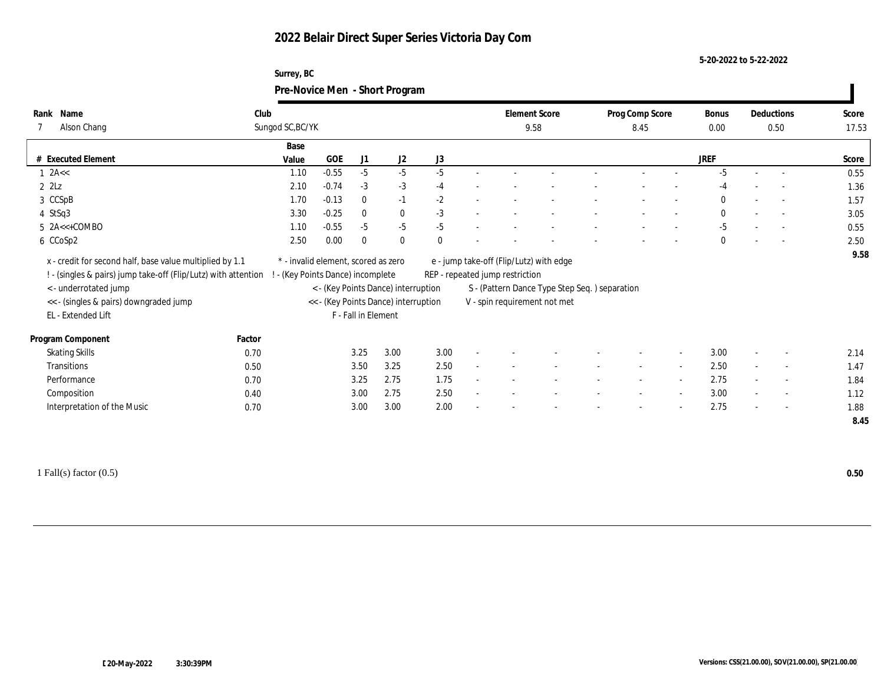### **Surrey, BC Pre-Novice Men - Short Program**

| Name<br>Rank                                                                                     | Club             |                                     |                      |                     |                                      |                                               | <b>Element Score</b> | Prog Comp Score |                          | Bonus        |        | Deductions               | Score |
|--------------------------------------------------------------------------------------------------|------------------|-------------------------------------|----------------------|---------------------|--------------------------------------|-----------------------------------------------|----------------------|-----------------|--------------------------|--------------|--------|--------------------------|-------|
| Alson Chang                                                                                      | Sungod SC, BC/YK |                                     |                      |                     |                                      |                                               | 9.58                 | 8.45            |                          | $0.00\,$     |        | 0.50                     | 17.53 |
|                                                                                                  |                  | Base                                |                      |                     |                                      |                                               |                      |                 |                          |              |        |                          |       |
| <b>Executed Element</b>                                                                          |                  | Value                               | GOE<br>J1            | J2                  | J3                                   |                                               |                      |                 |                          | JREF         |        |                          | Score |
| $1$ 2A $\lt$                                                                                     |                  | 1.10                                | $-0.55$<br>$-5$      |                     | $-5$<br>$-5$                         |                                               |                      |                 |                          | $-5$         |        |                          | 0.55  |
| $2$ $2$ Lz                                                                                       |                  | 2.10                                | $-0.74$<br>$-3$      |                     | $-3$<br>$-4$                         |                                               |                      |                 |                          | $-4$         |        | $\sim$                   | 1.36  |
| 3 CCSpB                                                                                          |                  | 1.70                                | $-0.13$<br>$\bf{0}$  | $-1$                | $-2$                                 |                                               |                      |                 |                          | $\mathbf{0}$ | $\sim$ | $\sim$                   | 1.57  |
| 4 StSq3                                                                                          |                  | 3.30                                | $-0.25$<br>$\bf{0}$  |                     | $\bf{0}$<br>$-3$                     |                                               |                      |                 |                          | $\bf{0}$     |        | $\sim$                   | 3.05  |
| $5$ $2A < +COMBO$                                                                                |                  | 1.10                                | $-0.55$<br>$-5$      |                     | $-5$<br>$-5$                         |                                               |                      |                 |                          | $-5$         |        | $\sim$                   | 0.55  |
| 6 CCoSp2                                                                                         |                  | 2.50                                | 0.00<br>$\mathbf{0}$ | $\mathbf{0}$        | $\theta$                             |                                               |                      |                 |                          | $\mathbf{0}$ |        |                          | 2.50  |
| x - credit for second half, base value multiplied by 1.1                                         |                  | * - invalid element, scored as zero |                      |                     |                                      | e - jump take-off (Flip/Lutz) with edge       |                      |                 |                          |              |        |                          | 9.58  |
| ! - (singles & pairs) jump take-off (Flip/Lutz) with attention ! - (Key Points Dance) incomplete |                  |                                     |                      |                     |                                      | REP - repeated jump restriction               |                      |                 |                          |              |        |                          |       |
|                                                                                                  |                  |                                     |                      |                     |                                      |                                               |                      |                 |                          |              |        |                          |       |
| < - underrotated jump                                                                            |                  |                                     |                      |                     | < - (Key Points Dance) interruption  | S - (Pattern Dance Type Step Seq.) separation |                      |                 |                          |              |        |                          |       |
| << - (singles & pairs) downgraded jump                                                           |                  |                                     |                      |                     | << - (Key Points Dance) interruption | V - spin requirement not met                  |                      |                 |                          |              |        |                          |       |
| EL - Extended Lift                                                                               |                  |                                     |                      | F - Fall in Element |                                      |                                               |                      |                 |                          |              |        |                          |       |
| Program Component                                                                                | Factor           |                                     |                      |                     |                                      |                                               |                      |                 |                          |              |        |                          |       |
| <b>Skating Skills</b>                                                                            | 0.70             |                                     | 3.25                 | 3.00                | 3.00                                 |                                               |                      |                 | $\overline{\phantom{a}}$ | 3.00         |        | $\sim$                   | 2.14  |
| Transitions                                                                                      | 0.50             |                                     | 3.50                 | 3.25                | 2.50                                 |                                               |                      |                 | $\overline{\phantom{a}}$ | 2.50         | $\sim$ | $\sim$                   | 1.47  |
| Performance                                                                                      | 0.70             |                                     | 3.25                 | 2.75                | 1.75                                 |                                               |                      |                 | $\sim$                   | 2.75         |        | $\overline{\phantom{a}}$ | 1.84  |
| Composition                                                                                      | 0.40             |                                     | 3.00                 | 2.75                | 2.50                                 |                                               |                      |                 | $\sim$                   | 3.00         |        | $\overline{\phantom{a}}$ | 1.12  |
| Interpretation of the Music                                                                      | 0.70             |                                     | 3.00                 | 3.00                | 2.00                                 |                                               |                      |                 |                          | 2.75         |        | $\sim$                   | 1.88  |

1 Fall(s) factor (0.5) **0.50**

 $\blacksquare$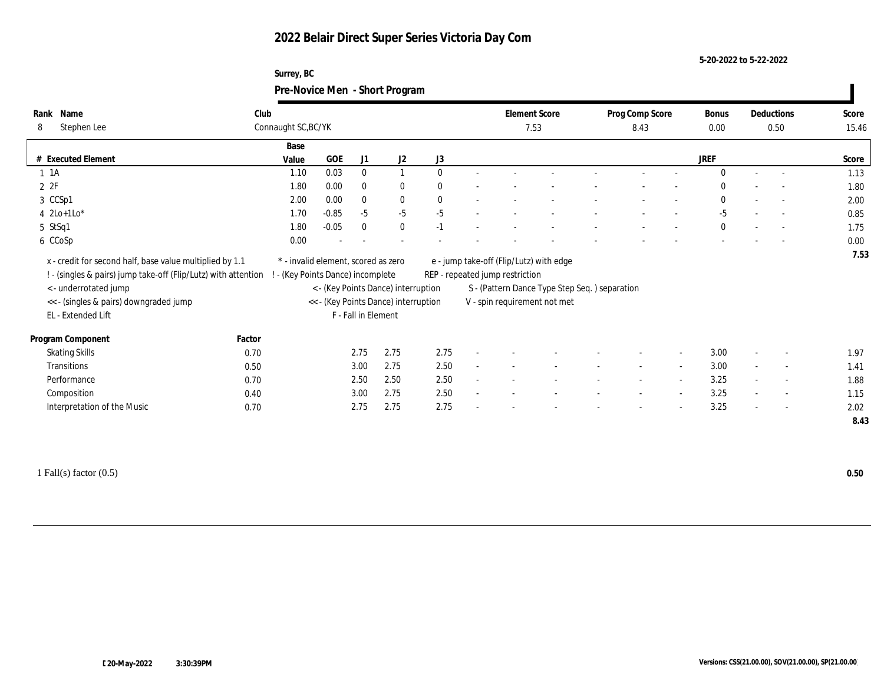### **Surrey, BC Pre-Novice Men - Short Program**

|                                                                                                                                                                                                                    |                     |                                                                                                                                                       |                     | ັ            |              |              |                                 |                                                                                                                          |                 |                          |              |                          |                          |              |
|--------------------------------------------------------------------------------------------------------------------------------------------------------------------------------------------------------------------|---------------------|-------------------------------------------------------------------------------------------------------------------------------------------------------|---------------------|--------------|--------------|--------------|---------------------------------|--------------------------------------------------------------------------------------------------------------------------|-----------------|--------------------------|--------------|--------------------------|--------------------------|--------------|
| Name<br>Rank                                                                                                                                                                                                       | Club                |                                                                                                                                                       |                     |              |              |              | <b>Element Score</b>            |                                                                                                                          | Prog Comp Score |                          | Bonus        |                          | Deductions               | Score        |
| Stephen Lee<br>8                                                                                                                                                                                                   | Connaught SC, BC/YK |                                                                                                                                                       |                     |              |              |              | 7.53                            |                                                                                                                          | 8.43            |                          | $0.00\,$     |                          | 0.50                     | 15.46        |
|                                                                                                                                                                                                                    | Base                |                                                                                                                                                       |                     |              |              |              |                                 |                                                                                                                          |                 |                          |              |                          |                          |              |
| # Executed Element                                                                                                                                                                                                 | Value               | GOE                                                                                                                                                   | J1                  | J2           | J3           |              |                                 |                                                                                                                          |                 |                          | JREF         |                          |                          | Score        |
| $1 \t1A$                                                                                                                                                                                                           | 1.10                | 0.03                                                                                                                                                  | $\mathbf{0}$        | $\mathbf{1}$ | $\theta$     |              |                                 |                                                                                                                          |                 |                          | $\Omega$     |                          |                          | 1.13         |
| 2P                                                                                                                                                                                                                 | 1.80                | 0.00                                                                                                                                                  | $\bf{0}$            | $\bf{0}$     | $\mathbf{0}$ |              |                                 |                                                                                                                          |                 |                          | $\theta$     |                          | $\sim$                   | 1.80         |
| 3 CCSp1                                                                                                                                                                                                            | 2.00                | 0.00                                                                                                                                                  | $\bf{0}$            | $\bf{0}$     | $\mathbf{0}$ |              |                                 |                                                                                                                          |                 | $\overline{\phantom{a}}$ | $\mathbf{0}$ | $\sim$                   | $\sim$                   | 2.00         |
| 4 $2Lo+1Lo*$                                                                                                                                                                                                       | 1.70                | $-0.85$                                                                                                                                               | $-5$                | $-5$         | $-5$         |              |                                 |                                                                                                                          |                 |                          | $-5$         |                          | $\overline{\phantom{a}}$ | 0.85         |
| 5 StSq1                                                                                                                                                                                                            | 1.80                | $-0.05$                                                                                                                                               | $\mathbf{0}$        | $\mathbf{0}$ | $-1$         |              |                                 |                                                                                                                          |                 |                          | $\mathbf{0}$ | $\overline{\phantom{a}}$ | $\sim$                   | 1.75         |
| 6 CCoSp                                                                                                                                                                                                            | 0.00                |                                                                                                                                                       |                     |              |              |              |                                 |                                                                                                                          |                 |                          |              |                          |                          | 0.00         |
| x - credit for second half, base value multiplied by 1.1<br>! - (singles & pairs) jump take-off (Flip/Lutz) with attention<br><- underrotated jump<br><< - (singles & pairs) downgraded jump<br>EL - Extended Lift |                     | * - invalid element, scored as zero<br>- (Key Points Dance) incomplete<br>< - (Key Points Dance) interruption<br><< - (Key Points Dance) interruption | F - Fall in Element |              |              |              | REP - repeated jump restriction | e - jump take-off (Flip/Lutz) with edge<br>S - (Pattern Dance Type Step Seq.) separation<br>V - spin requirement not met |                 |                          |              |                          |                          |              |
| Program Component                                                                                                                                                                                                  | Factor              |                                                                                                                                                       |                     |              |              |              |                                 |                                                                                                                          |                 |                          |              |                          |                          |              |
| <b>Skating Skills</b>                                                                                                                                                                                              | 0.70                |                                                                                                                                                       | 2.75                | 2.75         | 2.75         |              |                                 |                                                                                                                          |                 |                          | 3.00         |                          | $\overline{\phantom{a}}$ | 1.97         |
| Transitions                                                                                                                                                                                                        | 0.50                |                                                                                                                                                       | 3.00                | 2.75         | 2.50         |              |                                 |                                                                                                                          | $\sim$          | $\sim$                   | 3.00         | $\sim$                   | $\sim$                   | 1.41         |
| Performance                                                                                                                                                                                                        | 0.70                |                                                                                                                                                       | 2.50                | 2.50         | 2.50         |              |                                 |                                                                                                                          |                 | $\overline{\phantom{a}}$ | 3.25         |                          | $\overline{\phantom{a}}$ | 1.88         |
| Composition                                                                                                                                                                                                        | 0.40                |                                                                                                                                                       | 3.00                | 2.75         | 2.50         | $\mathbf{r}$ |                                 |                                                                                                                          | $\sim$          | $\sim$                   | 3.25         |                          | $\sim$                   | 1.15         |
| Interpretation of the Music                                                                                                                                                                                        | 0.70                |                                                                                                                                                       | 2.75                | 2.75         | 2.75         |              |                                 |                                                                                                                          |                 |                          | 3.25         |                          | $\overline{\phantom{a}}$ | 2.02<br>8.43 |
|                                                                                                                                                                                                                    |                     |                                                                                                                                                       |                     |              |              |              |                                 |                                                                                                                          |                 |                          |              |                          |                          |              |

1 Fall(s) factor (0.5) **0.50**

 $\blacksquare$